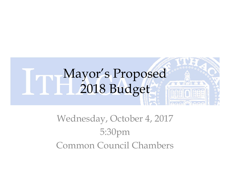#### Wednesday, October 4, 2017 5:30pm Common Council Chambers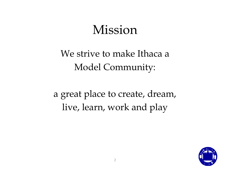#### Mission

We strive to make Ithaca a Model Community:

a great place to create, dream, live, learn, work and play

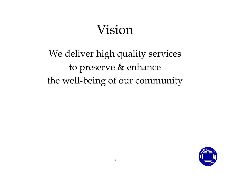#### Vision

We deliver high quality services to preserve & enhance the well-being of our community

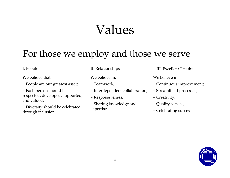#### Values

#### For those we employ and those we serve

We believe that:

- People are our greatest asset;
- Each person should be respected, developed, supported, and valued;

– Diversity should be celebrated through inclusion

We believe in:

- Teamwork;
- Interdependent collaboration;
- Responsiveness;
- Sharing knowledge and expertise

I. People II. Relationships III. Excellent Results

We believe in:

- Continuous improvement;
- Streamlined processes;
- Creativity;
- Quality service;
- Celebrating success

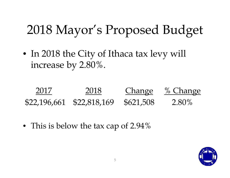• In 2018 the City of Ithaca tax levy will increase by 2.80%.



• This is below the tax cap of 2.94%

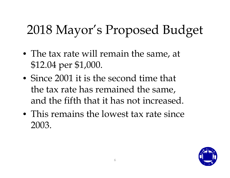- The tax rate will remain the same, at \$12.04 per \$1,000.
- Since 2001 it is the second time that the tax rate has remained the same, and the fifth that it has not increased.
- This remains the lowest tax rate since 2003.

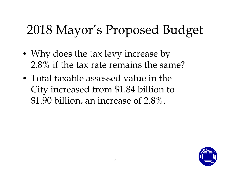- Why does the tax levy increase by 2.8% if the tax rate remains the same?
- Total taxable assessed value in the City increased from \$1.84 billion to \$1.90 billion, an increase of 2.8%.

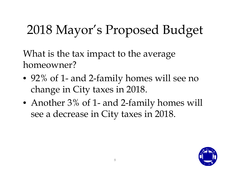What is the tax impact to the average homeowner?

- 92% of 1- and 2-family homes will see no change in City taxes in 2018.
- Another 3% of 1- and 2-family homes will see a decrease in City taxes in 2018.

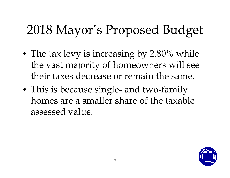- The tax levy is increasing by 2.80% while the vast majority of homeowners will see their taxes decrease or remain the same.
- This is because single- and two-family homes are a smaller share of the taxable assessed value.

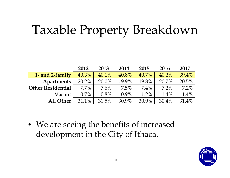### Taxable Property Breakdown

|                          | 2012     | 2013    | 2014    | 2015     | 2016     | 2017    |
|--------------------------|----------|---------|---------|----------|----------|---------|
| 1- and 2-family          | 40.3%    | 40.1%   | 40.8%   | $40.7\%$ | $40.2\%$ | 39.4%   |
| <b>Apartments</b>        | $20.2\%$ | 20.0%   | 19.9%   | 19.8%    | 20.7%    | 20.5%   |
| <b>Other Residential</b> | $7.7\%$  | $7.6\%$ | $7.5\%$ | $7.4\%$  | $7.2\%$  | 7.2%    |
| Vacant                   | $0.7\%$  | $0.8\%$ | $0.9\%$ | $1.2\%$  | $1.4\%$  | $1.4\%$ |
| All Other                | 31.1%    | 31.5%   | 30.9%   | 30.9%    | 30.4%    | 31.4%   |

• We are seeing the benefits of increased development in the City of Ithaca.

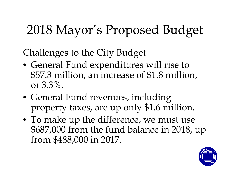Challenges to the City Budget

- General Fund expenditures will rise to \$57.3 million, an increase of \$1.8 million, or 3.3%.
- General Fund revenues, including property taxes, are up only \$1.6 million.
- To make up the difference, we must use \$687,000 from the fund balance in 2018, up from \$488,000 in 2017.

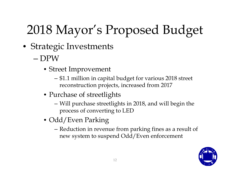- Strategic Investments
	- DPW
		- Street Improvement
			- \$1.1 million in capital budget for various 2018 street reconstruction projects, increased from 2017
		- Purchase of streetlights
			- Will purchase streetlights in 2018, and will begin the process of converting to LED
		- Odd/Even Parking
			- Reduction in revenue from parking fines as a result of new system to suspend Odd/Even enforcement

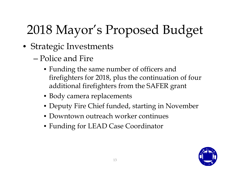- Strategic Investments
	- Police and Fire
		- Funding the same number of officers and firefighters for 2018, plus the continuation of four additional firefighters from the SAFER grant
		- Body camera replacements
		- Deputy Fire Chief funded, starting in November
		- Downtown outreach worker continues
		- Funding for LEAD Case Coordinator

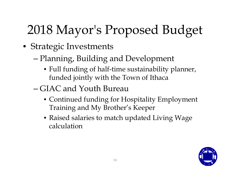- Strategic Investments
	- Planning, Building and Development
		- Full funding of half-time sustainability planner, funded jointly with the Town of Ithaca
	- GIAC and Youth Bureau
		- Continued funding for Hospitality Employment Training and My Brother's Keeper
		- Raised salaries to match updated Living Wage calculation

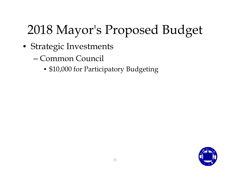- Strategic Investments
	- Common Council
		- \$10,000 for Participatory Budgeting

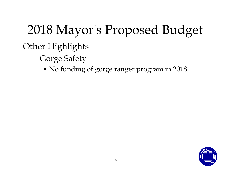#### Other Highlights

- **–** Gorge Safety
	- No funding of gorge ranger program in 2018

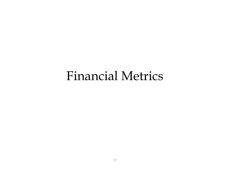#### Financial Metrics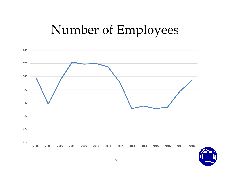#### Number of Employees



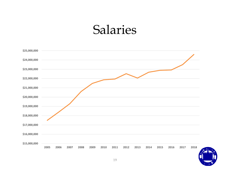#### Salaries



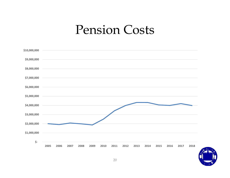#### Pension Costs

| \$10,000,000 |      |      |      |      |      |      |      |      |      |      |      |      |      |      |
|--------------|------|------|------|------|------|------|------|------|------|------|------|------|------|------|
| \$9,000,000  |      |      |      |      |      |      |      |      |      |      |      |      |      |      |
| \$8,000,000  |      |      |      |      |      |      |      |      |      |      |      |      |      |      |
| \$7,000,000  |      |      |      |      |      |      |      |      |      |      |      |      |      |      |
| \$6,000,000  |      |      |      |      |      |      |      |      |      |      |      |      |      |      |
| \$5,000,000  |      |      |      |      |      |      |      |      |      |      |      |      |      |      |
| \$4,000,000  |      |      |      |      |      |      |      |      |      |      |      |      |      |      |
| \$3,000,000  |      |      |      |      |      |      |      |      |      |      |      |      |      |      |
| \$2,000,000  |      |      |      |      |      |      |      |      |      |      |      |      |      |      |
| \$1,000,000  |      |      |      |      |      |      |      |      |      |      |      |      |      |      |
| \$-          | 2005 | 2006 | 2007 | 2008 | 2009 | 2010 | 2011 | 2012 | 2013 | 2014 | 2015 | 2016 | 2017 | 2018 |
|              |      |      |      |      |      |      |      |      |      |      |      |      |      |      |

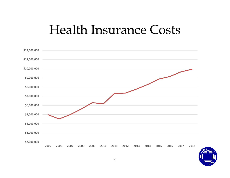#### Health Insurance Costs



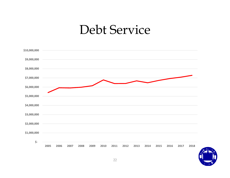#### Debt Service



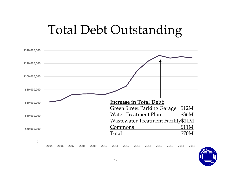#### Total Debt Outstanding

| \$140,000,000 |                                                                                                                   |
|---------------|-------------------------------------------------------------------------------------------------------------------|
| \$120,000,000 |                                                                                                                   |
| \$100,000,000 |                                                                                                                   |
| \$80,000,000  |                                                                                                                   |
| \$60,000,000  | <b>Increase in Total Debt:</b><br>\$12M                                                                           |
| \$40,000,000  | <b>Green Street Parking Garage</b><br>\$36M<br><b>Water Treatment Plant</b><br>Wastewater Treatment Facility\$11M |
| \$20,000,000  | \$11M<br>Commons<br>\$70M<br>Total                                                                                |
| \$-           | 2009<br>2005<br>2006<br>2010<br>2012<br>2015<br>2018<br>2007<br>2008<br>2011<br>2013<br>2014<br>2016<br>2017      |

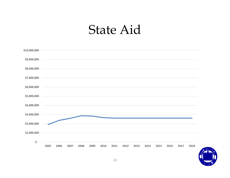#### State Aid

| \$10,000,000 |      |      |      |      |      |      |      |      |      |      |      |      |      |      |
|--------------|------|------|------|------|------|------|------|------|------|------|------|------|------|------|
| \$9,000,000  |      |      |      |      |      |      |      |      |      |      |      |      |      |      |
| \$8,000,000  |      |      |      |      |      |      |      |      |      |      |      |      |      |      |
| \$7,000,000  |      |      |      |      |      |      |      |      |      |      |      |      |      |      |
| \$6,000,000  |      |      |      |      |      |      |      |      |      |      |      |      |      |      |
| \$5,000,000  |      |      |      |      |      |      |      |      |      |      |      |      |      |      |
| \$4,000,000  |      |      |      |      |      |      |      |      |      |      |      |      |      |      |
| \$3,000,000  |      |      |      |      |      |      |      |      |      |      |      |      |      |      |
| \$2,000,000  |      |      |      |      |      |      |      |      |      |      |      |      |      |      |
| \$1,000,000  |      |      |      |      |      |      |      |      |      |      |      |      |      |      |
| \$-          |      |      |      |      |      |      |      |      |      |      |      |      |      |      |
|              | 2005 | 2006 | 2007 | 2008 | 2009 | 2010 | 2011 | 2012 | 2013 | 2014 | 2015 | 2016 | 2017 | 2018 |

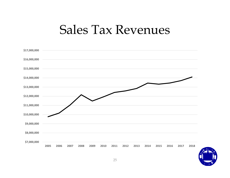#### Sales Tax Revenues



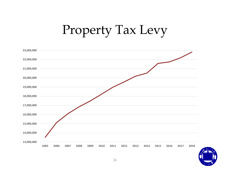#### Property Tax Levy



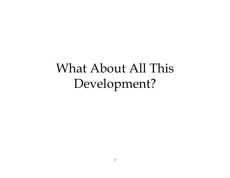#### What About All This Development?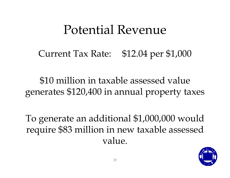#### Potential Revenue

Current Tax Rate: \$12.04 per \$1,000

\$10 million in taxable assessed value generates \$120,400 in annual property taxes

To generate an additional \$1,000,000 would require \$83 million in new taxable assessed value.

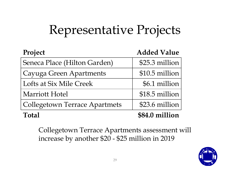## Representative Projects

| Project                              | <b>Added Value</b> |
|--------------------------------------|--------------------|
| Seneca Place (Hilton Garden)         | \$25.3 million     |
| Cayuga Green Apartments              | \$10.5 million     |
| Lofts at Six Mile Creek              | \$6.1 million      |
| <b>Marriott Hotel</b>                | \$18.5 million     |
| <b>Collegetown Terrace Apartmets</b> | \$23.6 million     |
| <b>Total</b>                         | \$84.0 million     |

Collegetown Terrace Apartments assessment will increase by another \$20 - \$25 million in 2019

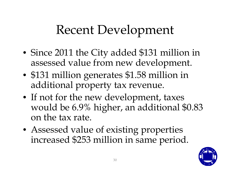#### Recent Development

- Since 2011 the City added \$131 million in assessed value from new development.
- \$131 million generates \$1.58 million in additional property tax revenue.
- If not for the new development, taxes would be 6.9% higher, an additional \$0.83 on the tax rate.
- Assessed value of existing properties increased \$253 million in same period.

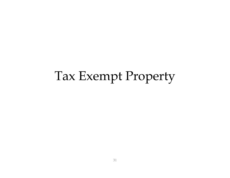#### Tax Exempt Property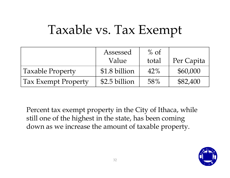#### Taxable vs. Tax Exempt

|                            | Assessed<br>Value | $%$ of<br>total | Per Capita |
|----------------------------|-------------------|-----------------|------------|
| <b>Taxable Property</b>    | \$1.8 billion     | $42\%$          | \$60,000   |
| <b>Tax Exempt Property</b> | \$2.5 billion     | 58%             | \$82,400   |

Percent tax exempt property in the City of Ithaca, while still one of the highest in the state, has been coming down as we increase the amount of taxable property.

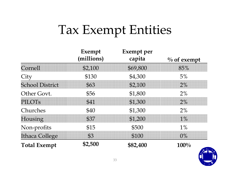#### Tax Exempt Entities

|                        | Exempt<br>(millions) | <b>Exempt</b> per<br>capita | $\%$ of exempt |
|------------------------|----------------------|-----------------------------|----------------|
| Cornell                | \$2,100              | \$69,800                    | 85%            |
| City                   | \$130                | \$4,300                     | 5%             |
| <b>School District</b> | \$63                 | \$2,100                     | $2\%$          |
| Other Govt.            | \$56                 | \$1,800                     | $2\%$          |
| <b>PILOTS</b>          | \$41                 | \$1,300                     | $2\%$          |
| Churches               | \$40                 | \$1,300                     | $2\%$          |
| Housing                | \$37                 | \$1,200                     | $1\%$          |
| Non-profits            | \$15                 | \$500                       | 1%             |
| <b>Ithaca College</b>  | \$3                  | \$100                       | $0\%$          |
| <b>Total Exempt</b>    | \$2,500              | \$82,400                    | 100%           |

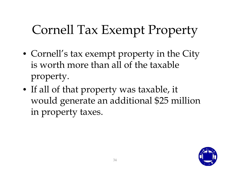### Cornell Tax Exempt Property

- Cornell's tax exempt property in the City is worth more than all of the taxable property.
- If all of that property was taxable, it would generate an additional \$25 million in property taxes.

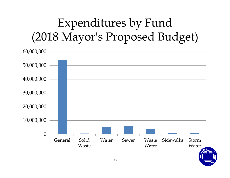#### Expenditures by Fund (2018 Mayor's Proposed Budget)

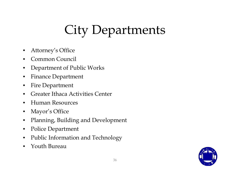## City Departments

- •Attorney's Office
- •Common Council
- $\bullet$ Department of Public Works
- $\bullet$ Finance Department
- $\bullet$ Fire Department
- $\bullet$ Greater Ithaca Activities Center
- $\bullet$ Human Resources
- $\bullet$ Mayor's Office
- $\bullet$ Planning, Building and Development
- $\bullet$ Police Department
- $\bullet$ Public Information and Technology
- $\bullet$ Youth Bureau

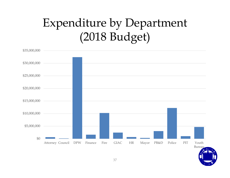#### Expenditure by Department (2018 Budget)

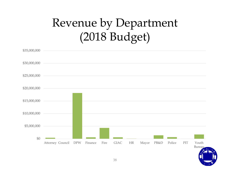#### Revenue by Department (2018 Budget)

| \$35,000,000 |                  |            |         |      |              |           |       |      |        |     |                  |
|--------------|------------------|------------|---------|------|--------------|-----------|-------|------|--------|-----|------------------|
| \$30,000,000 |                  |            |         |      |              |           |       |      |        |     |                  |
| \$25,000,000 |                  |            |         |      |              |           |       |      |        |     |                  |
| \$20,000,000 |                  |            |         |      |              |           |       |      |        |     |                  |
| \$15,000,000 |                  |            |         |      |              |           |       |      |        |     |                  |
| \$10,000,000 |                  |            |         |      |              |           |       |      |        |     |                  |
| \$5,000,000  |                  |            |         |      |              |           |       |      |        |     |                  |
| $\$0$        |                  |            |         |      |              |           |       |      |        |     |                  |
|              | Attorney Council | <b>DPW</b> | Finance | Fire | ${\rm GIAC}$ | $\rm{HR}$ | Mayor | PB&D | Police | PIT | Youth<br>Bureau. |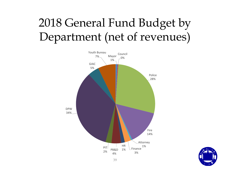#### 2018 General Fund Budget by Department (net of revenues)



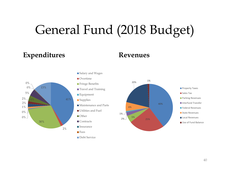#### General Fund (2018 Budget)

#### **Expenditures Revenues**





■Salary and Wages

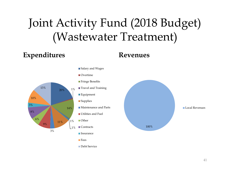#### Joint Activity Fund (2018 Budget) (Wastewater Treatment)

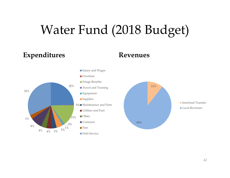### Water Fund (2018 Budget)

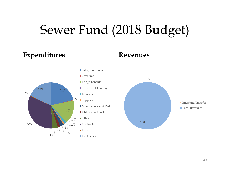#### Sewer Fund (2018 Budget)

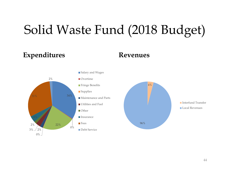#### Solid Waste Fund (2018 Budget)

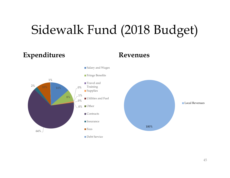### Sidewalk Fund (2018 Budget)

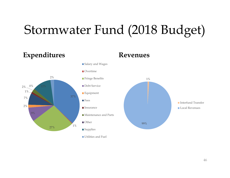#### Stormwater Fund (2018 Budget)